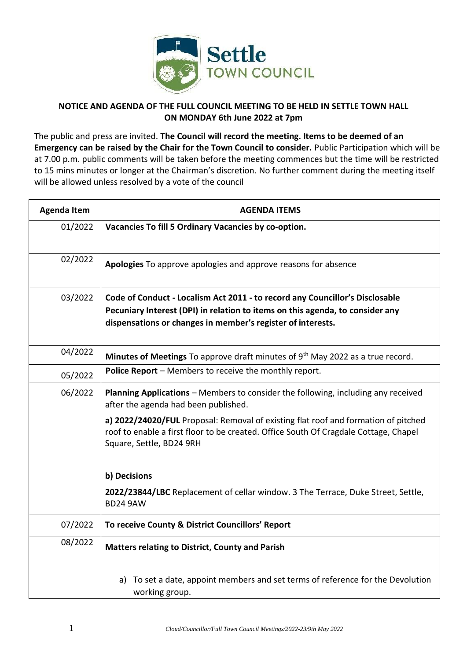

## **NOTICE AND AGENDA OF THE FULL COUNCIL MEETING TO BE HELD IN SETTLE TOWN HALL ON MONDAY 6th June 2022 at 7pm**

The public and press are invited. **The Council will record the meeting. Items to be deemed of an Emergency can be raised by the Chair for the Town Council to consider.** Public Participation which will be at 7.00 p.m. public comments will be taken before the meeting commences but the time will be restricted to 15 mins minutes or longer at the Chairman's discretion. No further comment during the meeting itself will be allowed unless resolved by a vote of the council

| <b>Agenda Item</b> | <b>AGENDA ITEMS</b>                                                                                                                                                                                                          |
|--------------------|------------------------------------------------------------------------------------------------------------------------------------------------------------------------------------------------------------------------------|
| 01/2022            | Vacancies To fill 5 Ordinary Vacancies by co-option.                                                                                                                                                                         |
| 02/2022            | Apologies To approve apologies and approve reasons for absence                                                                                                                                                               |
| 03/2022            | Code of Conduct - Localism Act 2011 - to record any Councillor's Disclosable<br>Pecuniary Interest (DPI) in relation to items on this agenda, to consider any<br>dispensations or changes in member's register of interests. |
| 04/2022            | Minutes of Meetings To approve draft minutes of 9th May 2022 as a true record.                                                                                                                                               |
| 05/2022            | Police Report - Members to receive the monthly report.                                                                                                                                                                       |
| 06/2022            | <b>Planning Applications</b> – Members to consider the following, including any received<br>after the agenda had been published.                                                                                             |
|                    | a) 2022/24020/FUL Proposal: Removal of existing flat roof and formation of pitched<br>roof to enable a first floor to be created. Office South Of Cragdale Cottage, Chapel<br>Square, Settle, BD24 9RH                       |
|                    | b) Decisions                                                                                                                                                                                                                 |
|                    | 2022/23844/LBC Replacement of cellar window. 3 The Terrace, Duke Street, Settle,<br><b>BD24 9AW</b>                                                                                                                          |
| 07/2022            | To receive County & District Councillors' Report                                                                                                                                                                             |
| 08/2022            | <b>Matters relating to District, County and Parish</b>                                                                                                                                                                       |
|                    | To set a date, appoint members and set terms of reference for the Devolution<br>a)<br>working group.                                                                                                                         |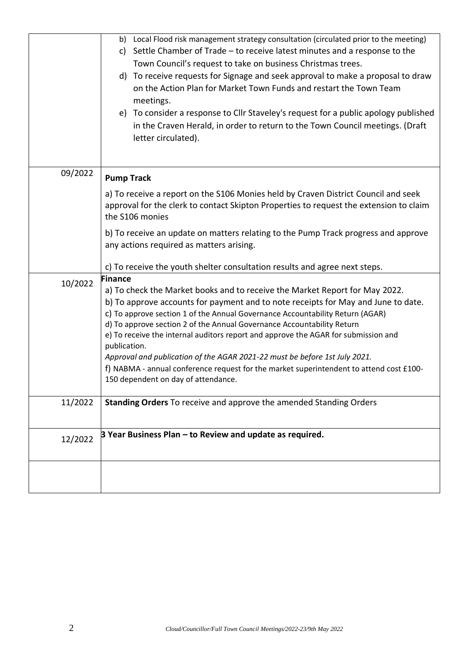|         | b) Local Flood risk management strategy consultation (circulated prior to the meeting)<br>Settle Chamber of Trade - to receive latest minutes and a response to the<br>C)<br>Town Council's request to take on business Christmas trees.<br>To receive requests for Signage and seek approval to make a proposal to draw<br>d)<br>on the Action Plan for Market Town Funds and restart the Town Team<br>meetings.                                                                                                                                                                                                                                                   |
|---------|---------------------------------------------------------------------------------------------------------------------------------------------------------------------------------------------------------------------------------------------------------------------------------------------------------------------------------------------------------------------------------------------------------------------------------------------------------------------------------------------------------------------------------------------------------------------------------------------------------------------------------------------------------------------|
|         | e) To consider a response to Cllr Staveley's request for a public apology published<br>in the Craven Herald, in order to return to the Town Council meetings. (Draft<br>letter circulated).                                                                                                                                                                                                                                                                                                                                                                                                                                                                         |
| 09/2022 | <b>Pump Track</b><br>a) To receive a report on the S106 Monies held by Craven District Council and seek<br>approval for the clerk to contact Skipton Properties to request the extension to claim<br>the S106 monies<br>b) To receive an update on matters relating to the Pump Track progress and approve<br>any actions required as matters arising.<br>c) To receive the youth shelter consultation results and agree next steps.                                                                                                                                                                                                                                |
| 10/2022 | <b>Finance</b><br>a) To check the Market books and to receive the Market Report for May 2022.<br>b) To approve accounts for payment and to note receipts for May and June to date.<br>c) To approve section 1 of the Annual Governance Accountability Return (AGAR)<br>d) To approve section 2 of the Annual Governance Accountability Return<br>e) To receive the internal auditors report and approve the AGAR for submission and<br>publication.<br>Approval and publication of the AGAR 2021-22 must be before 1st July 2021.<br>f) NABMA - annual conference request for the market superintendent to attend cost £100-<br>150 dependent on day of attendance. |
| 11/2022 | Standing Orders To receive and approve the amended Standing Orders                                                                                                                                                                                                                                                                                                                                                                                                                                                                                                                                                                                                  |
| 12/2022 | 3 Year Business Plan - to Review and update as required.                                                                                                                                                                                                                                                                                                                                                                                                                                                                                                                                                                                                            |